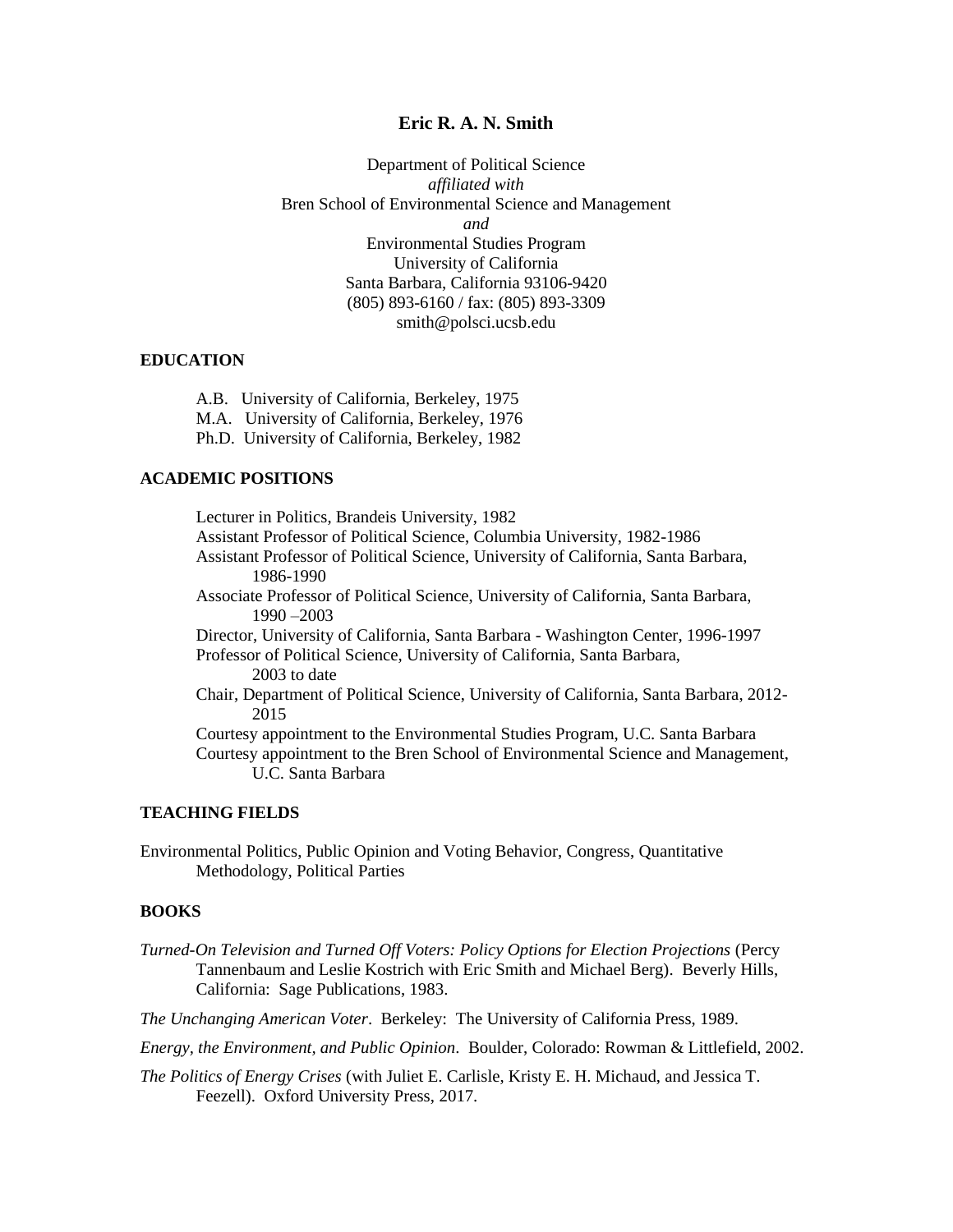## **Eric R. A. N. Smith**

Department of Political Science *affiliated with*  Bren School of Environmental Science and Management *and* Environmental Studies Program University of California Santa Barbara, California 93106-9420 (805) 893-6160 / fax: (805) 893-3309 smith@polsci.ucsb.edu

### **EDUCATION**

A.B. University of California, Berkeley, 1975 M.A. University of California, Berkeley, 1976

Ph.D. University of California, Berkeley, 1982

# **ACADEMIC POSITIONS**

Lecturer in Politics, Brandeis University, 1982 Assistant Professor of Political Science, Columbia University, 1982-1986 Assistant Professor of Political Science, University of California, Santa Barbara, 1986-1990 Associate Professor of Political Science, University of California, Santa Barbara, 1990 –2003 Director, University of California, Santa Barbara - Washington Center, 1996-1997 Professor of Political Science, University of California, Santa Barbara, 2003 to date Chair, Department of Political Science, University of California, Santa Barbara, 2012- 2015 Courtesy appointment to the Environmental Studies Program, U.C. Santa Barbara Courtesy appointment to the Bren School of Environmental Science and Management, U.C. Santa Barbara

# **TEACHING FIELDS**

Environmental Politics, Public Opinion and Voting Behavior, Congress, Quantitative Methodology, Political Parties

#### **BOOKS**

*Turned-On Television and Turned Off Voters: Policy Options for Election Projections* (Percy Tannenbaum and Leslie Kostrich with Eric Smith and Michael Berg). Beverly Hills, California: Sage Publications, 1983.

*The Unchanging American Voter*. Berkeley: The University of California Press, 1989.

*Energy, the Environment, and Public Opinion*. Boulder, Colorado: Rowman & Littlefield, 2002.

*The Politics of Energy Crises* (with Juliet E. Carlisle, Kristy E. H. Michaud, and Jessica T. Feezell). Oxford University Press, 2017.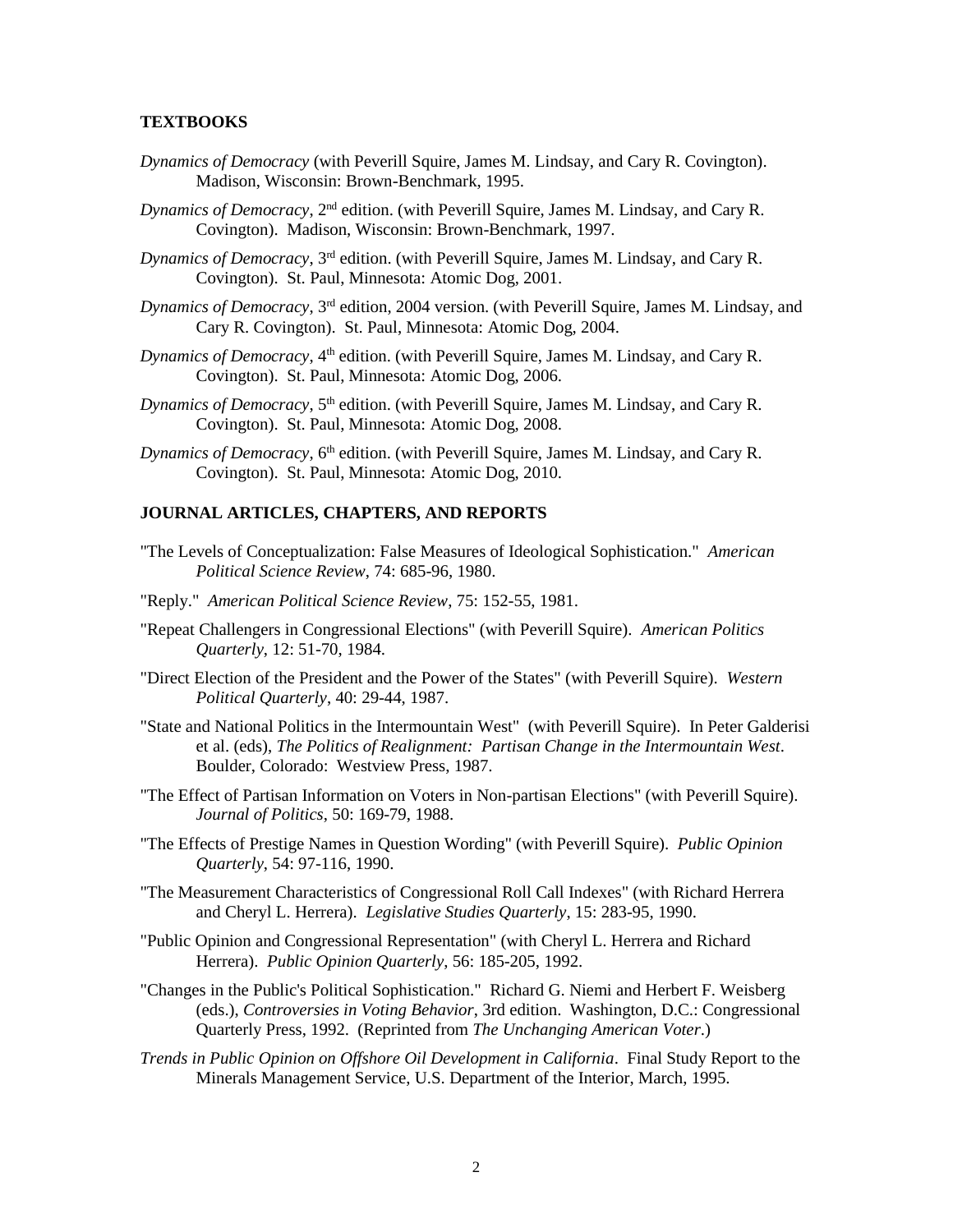#### **TEXTBOOKS**

- *Dynamics of Democracy* (with Peverill Squire, James M. Lindsay, and Cary R. Covington). Madison, Wisconsin: Brown-Benchmark, 1995.
- *Dynamics of Democracy*, 2nd edition. (with Peverill Squire, James M. Lindsay, and Cary R. Covington). Madison, Wisconsin: Brown-Benchmark, 1997.
- *Dynamics of Democracy*, 3rd edition. (with Peverill Squire, James M. Lindsay, and Cary R. Covington). St. Paul, Minnesota: Atomic Dog, 2001.
- *Dynamics of Democracy*, 3rd edition, 2004 version. (with Peverill Squire, James M. Lindsay, and Cary R. Covington). St. Paul, Minnesota: Atomic Dog, 2004.
- *Dynamics of Democracy*, 4th edition. (with Peverill Squire, James M. Lindsay, and Cary R. Covington). St. Paul, Minnesota: Atomic Dog, 2006.
- *Dynamics of Democracy*, 5<sup>th</sup> edition. (with Peverill Squire, James M. Lindsay, and Cary R. Covington). St. Paul, Minnesota: Atomic Dog, 2008.
- Dynamics of Democracy, 6<sup>th</sup> edition. (with Peverill Squire, James M. Lindsay, and Cary R. Covington). St. Paul, Minnesota: Atomic Dog, 2010.

### **JOURNAL ARTICLES, CHAPTERS, AND REPORTS**

- "The Levels of Conceptualization: False Measures of Ideological Sophistication." *American Political Science Review*, 74: 685-96, 1980.
- "Reply." *American Political Science Review*, 75: 152-55, 1981.
- "Repeat Challengers in Congressional Elections" (with Peverill Squire). *American Politics Quarterly*, 12: 51-70, 1984.
- "Direct Election of the President and the Power of the States" (with Peverill Squire). *Western Political Quarterly*, 40: 29-44, 1987.
- "State and National Politics in the Intermountain West" (with Peverill Squire). In Peter Galderisi et al. (eds), *The Politics of Realignment: Partisan Change in the Intermountain West*. Boulder, Colorado: Westview Press, 1987.
- "The Effect of Partisan Information on Voters in Non-partisan Elections" (with Peverill Squire). *Journal of Politics*, 50: 169-79, 1988.
- "The Effects of Prestige Names in Question Wording" (with Peverill Squire). *Public Opinion Quarterly*, 54: 97-116, 1990.
- "The Measurement Characteristics of Congressional Roll Call Indexes" (with Richard Herrera and Cheryl L. Herrera). *Legislative Studies Quarterly*, 15: 283-95, 1990.
- "Public Opinion and Congressional Representation" (with Cheryl L. Herrera and Richard Herrera). *Public Opinion Quarterly*, 56: 185-205, 1992.
- "Changes in the Public's Political Sophistication." Richard G. Niemi and Herbert F. Weisberg (eds.), *Controversies in Voting Behavior*, 3rd edition. Washington, D.C.: Congressional Quarterly Press, 1992. (Reprinted from *The Unchanging American Voter*.)
- *Trends in Public Opinion on Offshore Oil Development in California*. Final Study Report to the Minerals Management Service, U.S. Department of the Interior, March, 1995.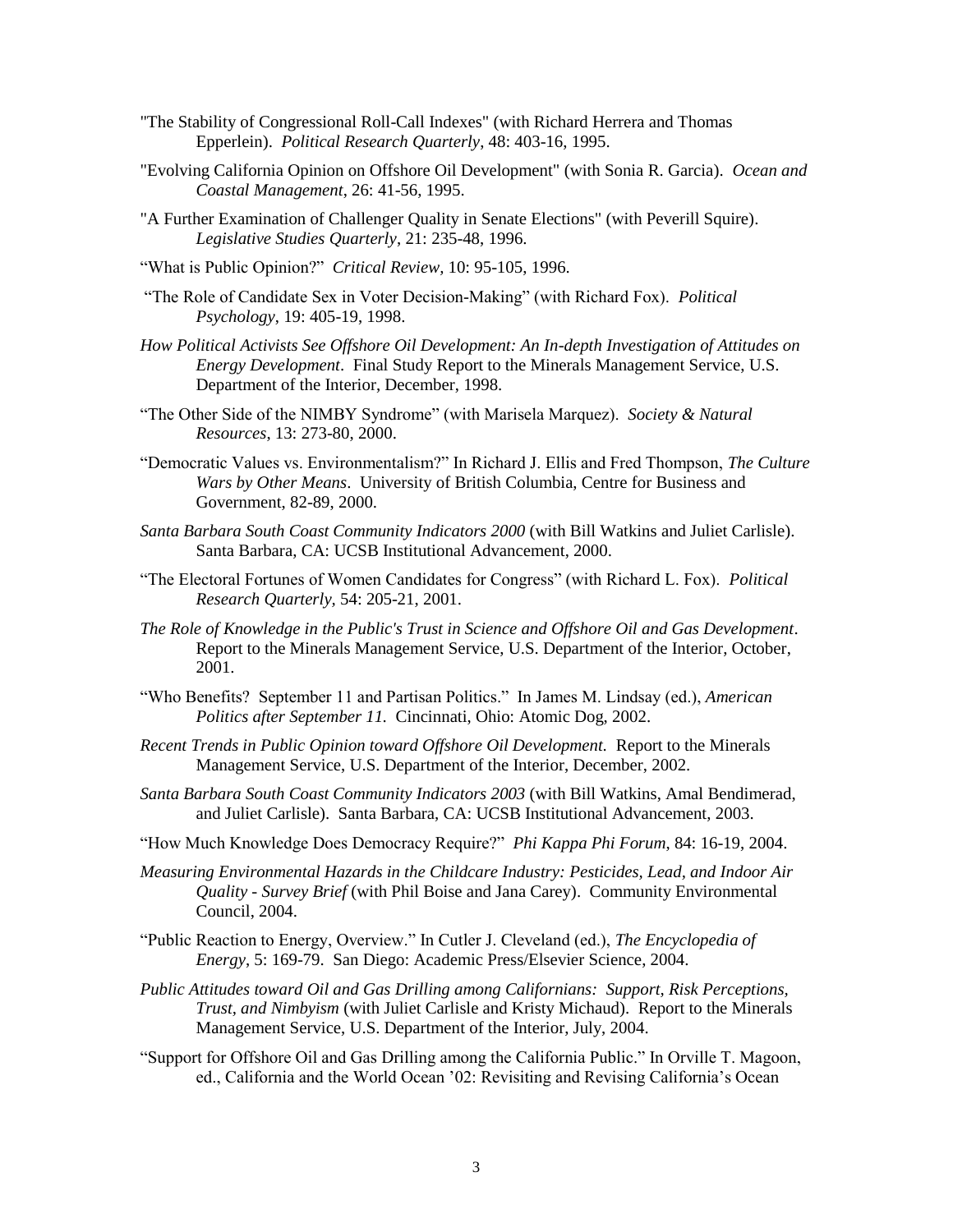- "The Stability of Congressional Roll-Call Indexes" (with Richard Herrera and Thomas Epperlein). *Political Research Quarterly*, 48: 403-16, 1995.
- "Evolving California Opinion on Offshore Oil Development" (with Sonia R. Garcia). *Ocean and Coastal Management*, 26: 41-56, 1995.
- "A Further Examination of Challenger Quality in Senate Elections" (with Peverill Squire). *Legislative Studies Quarterly*, 21: 235-48, 1996.
- "What is Public Opinion?" *Critical Review,* 10: 95-105, 1996.
- "The Role of Candidate Sex in Voter Decision-Making" (with Richard Fox). *Political Psychology*, 19: 405-19, 1998.
- *How Political Activists See Offshore Oil Development: An In-depth Investigation of Attitudes on Energy Development*. Final Study Report to the Minerals Management Service, U.S. Department of the Interior, December, 1998.
- "The Other Side of the NIMBY Syndrome" (with Marisela Marquez). *Society & Natural Resources*, 13: 273-80, 2000.
- "Democratic Values vs. Environmentalism?" In Richard J. Ellis and Fred Thompson, *The Culture Wars by Other Means*. University of British Columbia, Centre for Business and Government, 82-89, 2000.
- *Santa Barbara South Coast Community Indicators 2000* (with Bill Watkins and Juliet Carlisle). Santa Barbara, CA: UCSB Institutional Advancement, 2000.
- "The Electoral Fortunes of Women Candidates for Congress" (with Richard L. Fox). *Political Research Quarterly,* 54: 205-21, 2001.
- *The Role of Knowledge in the Public's Trust in Science and Offshore Oil and Gas Development*. Report to the Minerals Management Service, U.S. Department of the Interior, October, 2001.
- "Who Benefits? September 11 and Partisan Politics." In James M. Lindsay (ed.), *American Politics after September 11.* Cincinnati, Ohio: Atomic Dog, 2002.
- *Recent Trends in Public Opinion toward Offshore Oil Development.* Report to the Minerals Management Service, U.S. Department of the Interior, December, 2002.
- *Santa Barbara South Coast Community Indicators 2003* (with Bill Watkins, Amal Bendimerad, and Juliet Carlisle). Santa Barbara, CA: UCSB Institutional Advancement, 2003.
- "How Much Knowledge Does Democracy Require?" *Phi Kappa Phi Forum*, 84: 16-19, 2004.
- *Measuring Environmental Hazards in the Childcare Industry: Pesticides, Lead, and Indoor Air Quality - Survey Brief* (with Phil Boise and Jana Carey). Community Environmental Council, 2004.
- "Public Reaction to Energy, Overview." In Cutler J. Cleveland (ed.), *The Encyclopedia of Energy*, 5: 169-79. San Diego: Academic Press/Elsevier Science, 2004.
- *Public Attitudes toward Oil and Gas Drilling among Californians: Support, Risk Perceptions, Trust, and Nimbyism* (with Juliet Carlisle and Kristy Michaud). Report to the Minerals Management Service, U.S. Department of the Interior, July, 2004.
- "Support for Offshore Oil and Gas Drilling among the California Public." In Orville T. Magoon, ed., California and the World Ocean '02: Revisiting and Revising California's Ocean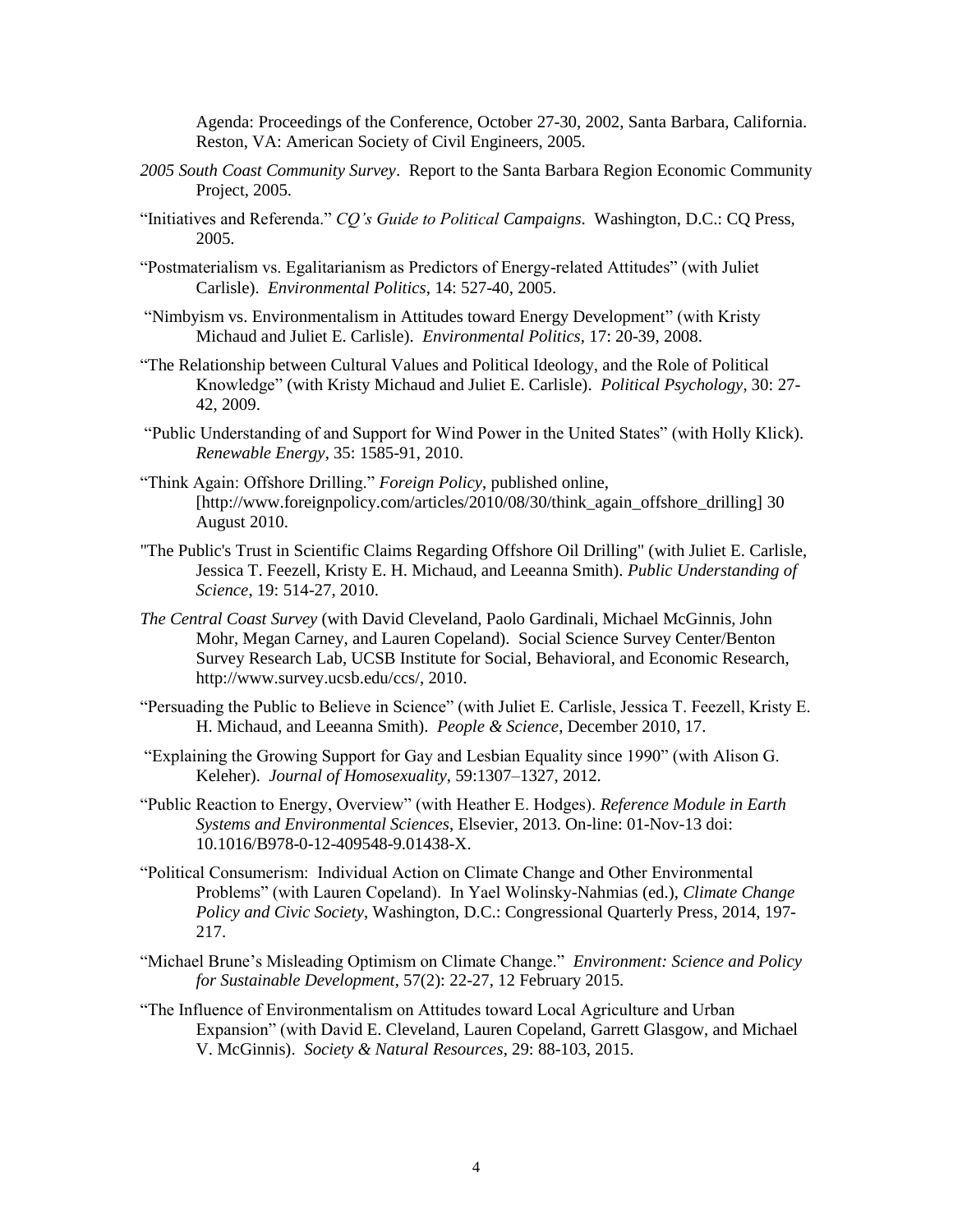Agenda: Proceedings of the Conference, October 27-30, 2002, Santa Barbara, California. Reston, VA: American Society of Civil Engineers, 2005.

- *2005 South Coast Community Survey*. Report to the Santa Barbara Region Economic Community Project, 2005.
- "Initiatives and Referenda." *CQ's Guide to Political Campaigns*. Washington, D.C.: CQ Press, 2005.
- "Postmaterialism vs. Egalitarianism as Predictors of Energy-related Attitudes" (with Juliet Carlisle). *Environmental Politics*, 14: 527-40, 2005.
- ["Nimbyism vs. Environmentalism in Attitudes toward Energy Development"](http://www.informaworld.com.proxy.library.ucsb.edu:2048/smpp/content~content=a790495314?words=carlisle&hash=2152229837) (with Kristy Michaud and Juliet E. Carlisle). *Environmental Politics,* 17: 20-39, 2008.
- "The Relationship between Cultural Values and Political Ideology, and the Role of Political Knowledge" (with Kristy Michaud and Juliet E. Carlisle). *Political Psychology*, 30: 27- 42, 2009.
- "Public Understanding of and Support for Wind Power in the United States" (with Holly Klick). *Renewable Energy*, 35: 1585-91, 2010.
- "Think Again: Offshore Drilling." *Foreign Policy*, published online, [http://www.foreignpolicy.com/articles/2010/08/30/think again offshore drilling] 30 August 2010.
- "The Public's Trust in Scientific Claims Regarding Offshore Oil Drilling" (with Juliet E. Carlisle, Jessica T. Feezell, Kristy E. H. Michaud, and Leeanna Smith). *Public Understanding of Science*, 19: 514-27, 2010.
- *The Central Coast Survey* (with David Cleveland, Paolo Gardinali, Michael McGinnis, John Mohr, Megan Carney, and Lauren Copeland). Social Science Survey Center/Benton Survey Research Lab, UCSB Institute for Social, Behavioral, and Economic Research, http://www.survey.ucsb.edu/ccs/, 2010.
- "Persuading the Public to Believe in Science" (with Juliet E. Carlisle, Jessica T. Feezell, Kristy E. H. Michaud, and Leeanna Smith). *People & Science*, December 2010, 17.
- "Explaining the Growing Support for Gay and Lesbian Equality since 1990" (with Alison G. Keleher). *Journal of Homosexuality*, 59:1307–1327, 2012.
- "Public Reaction to Energy, Overview" (with Heather E. Hodges). *Reference Module in Earth Systems and Environmental Sciences*, Elsevier, 2013. On-line: 01-Nov-13 doi: 10.1016/B978-0-12-409548-9.01438-X.
- "Political Consumerism: Individual Action on Climate Change and Other Environmental Problems" (with Lauren Copeland). In Yael Wolinsky-Nahmias (ed.), *Climate Change Policy and Civic Society*, Washington, D.C.: Congressional Quarterly Press, 2014, 197- 217.
- "Michael Brune's Misleading Optimism on Climate Change." *Environment: Science and Policy for Sustainable Development*, 57(2): 22-27, 12 February 2015.
- "The Influence of Environmentalism on Attitudes toward Local Agriculture and Urban Expansion" (with David E. Cleveland, Lauren Copeland, Garrett Glasgow, and Michael V. McGinnis). *Society & Natural Resources*, 29: 88-103, 2015.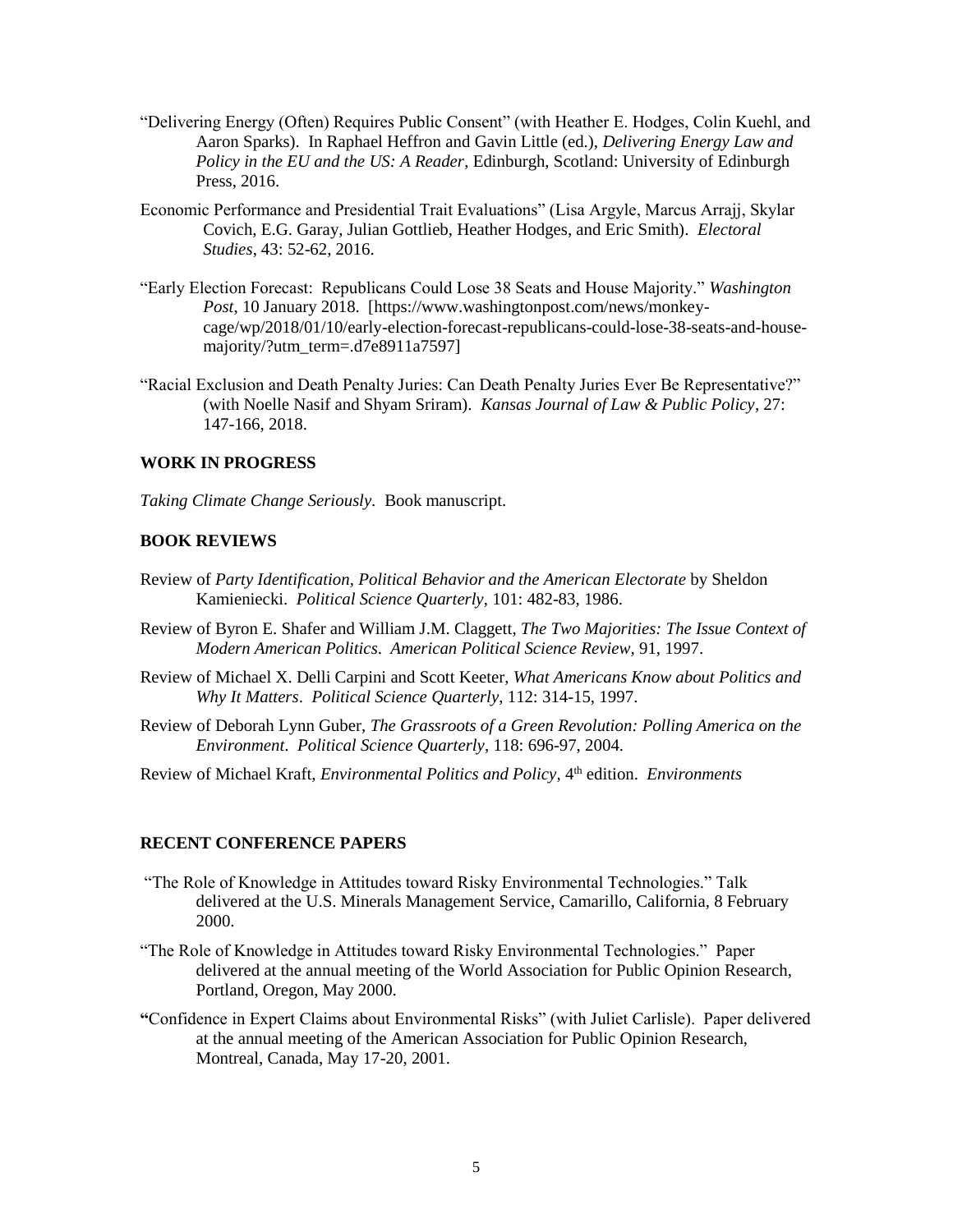- "Delivering Energy (Often) Requires Public Consent" (with Heather E. Hodges, Colin Kuehl, and Aaron Sparks). In Raphael Heffron and Gavin Little (ed.), *Delivering Energy Law and Policy in the EU and the US: A Reader*, Edinburgh, Scotland: University of Edinburgh Press, 2016.
- Economic Performance and Presidential Trait Evaluations" (Lisa Argyle, Marcus Arrajj, Skylar Covich, E.G. Garay, Julian Gottlieb, Heather Hodges, and Eric Smith). *Electoral Studies*, 43: 52-62, 2016.
- "Early Election Forecast: Republicans Could Lose 38 Seats and House Majority." *Washington Post*, 10 January 2018. [https://www.washingtonpost.com/news/monkeycage/wp/2018/01/10/early-election-forecast-republicans-could-lose-38-seats-and-housemajority/?utm\_term=.d7e8911a7597]
- "Racial Exclusion and Death Penalty Juries: Can Death Penalty Juries Ever Be Representative?" (with Noelle Nasif and Shyam Sriram). *Kansas Journal of Law & Public Policy*, 27: 147-166, 2018.

### **WORK IN PROGRESS**

*Taking Climate Change Seriously.* Book manuscript.

### **BOOK REVIEWS**

- Review of *Party Identification, Political Behavior and the American Electorate* by Sheldon Kamieniecki. *Political Science Quarterly*, 101: 482-83, 1986.
- Review of Byron E. Shafer and William J.M. Claggett, *The Two Majorities: The Issue Context of Modern American Politics*. *American Political Science Review,* 91, 1997.
- Review of Michael X. Delli Carpini and Scott Keeter, *What Americans Know about Politics and Why It Matters*. *Political Science Quarterly*, 112: 314-15, 1997.
- Review of Deborah Lynn Guber, *The Grassroots of a Green Revolution: Polling America on the Environment*. *Political Science Quarterly*, 118: 696-97, 2004.
- Review of Michael Kraft, *Environmental Politics and Policy*, 4th edition. *Environments*

#### **RECENT CONFERENCE PAPERS**

- "The Role of Knowledge in Attitudes toward Risky Environmental Technologies." Talk delivered at the U.S. Minerals Management Service, Camarillo, California, 8 February 2000.
- "The Role of Knowledge in Attitudes toward Risky Environmental Technologies." Paper delivered at the annual meeting of the World Association for Public Opinion Research, Portland, Oregon, May 2000.
- **"**Confidence in Expert Claims about Environmental Risks" (with Juliet Carlisle). Paper delivered at the annual meeting of the American Association for Public Opinion Research, Montreal, Canada, May 17-20, 2001.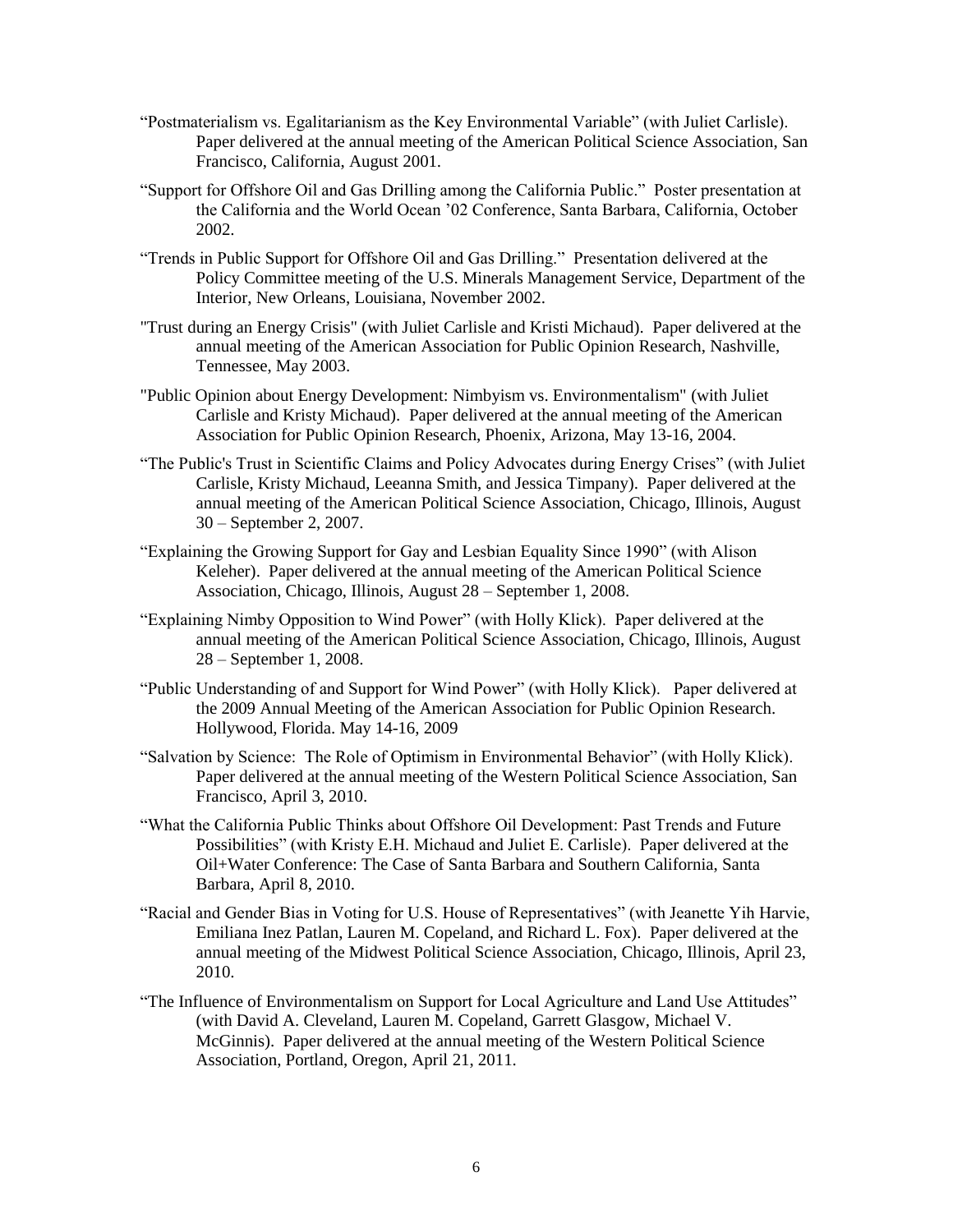- "Postmaterialism vs. Egalitarianism as the Key Environmental Variable" (with Juliet Carlisle). Paper delivered at the annual meeting of the American Political Science Association, San Francisco, California, August 2001.
- "Support for Offshore Oil and Gas Drilling among the California Public." Poster presentation at the California and the World Ocean '02 Conference, Santa Barbara, California, October 2002.
- "Trends in Public Support for Offshore Oil and Gas Drilling." Presentation delivered at the Policy Committee meeting of the U.S. Minerals Management Service, Department of the Interior, New Orleans, Louisiana, November 2002.
- "Trust during an Energy Crisis" (with Juliet Carlisle and Kristi Michaud). Paper delivered at the annual meeting of the American Association for Public Opinion Research, Nashville, Tennessee, May 2003.
- "Public Opinion about Energy Development: Nimbyism vs. Environmentalism" (with Juliet Carlisle and Kristy Michaud). Paper delivered at the annual meeting of the American Association for Public Opinion Research, Phoenix, Arizona, May 13-16, 2004.
- "The Public's Trust in Scientific Claims and Policy Advocates during Energy Crises" (with Juliet Carlisle, Kristy Michaud, Leeanna Smith, and Jessica Timpany). Paper delivered at the annual meeting of the American Political Science Association, Chicago, Illinois, August 30 – September 2, 2007.
- "Explaining the Growing Support for Gay and Lesbian Equality Since 1990" (with Alison Keleher). Paper delivered at the annual meeting of the American Political Science Association, Chicago, Illinois, August 28 – September 1, 2008.
- "Explaining Nimby Opposition to Wind Power" (with Holly Klick). Paper delivered at the annual meeting of the American Political Science Association, Chicago, Illinois, August 28 – September 1, 2008.
- "Public Understanding of and Support for Wind Power" (with Holly Klick). Paper delivered at the 2009 Annual Meeting of the American Association for Public Opinion Research. Hollywood, Florida. May 14-16, 2009
- "Salvation by Science: The Role of Optimism in Environmental Behavior" (with Holly Klick). Paper delivered at the annual meeting of the Western Political Science Association, San Francisco, April 3, 2010.
- "What the California Public Thinks about Offshore Oil Development: Past Trends and Future Possibilities" (with Kristy E.H. Michaud and Juliet E. Carlisle). Paper delivered at the Oil+Water Conference: The Case of Santa Barbara and Southern California, Santa Barbara, April 8, 2010.
- "Racial and Gender Bias in Voting for U.S. House of Representatives" (with Jeanette Yih Harvie, Emiliana Inez Patlan, Lauren M. Copeland, and Richard L. Fox). Paper delivered at the annual meeting of the Midwest Political Science Association, Chicago, Illinois, April 23, 2010.
- "The Influence of Environmentalism on Support for Local Agriculture and Land Use Attitudes" (with David A. Cleveland, Lauren M. Copeland, Garrett Glasgow, Michael V. McGinnis). Paper delivered at the annual meeting of the Western Political Science Association, Portland, Oregon, April 21, 2011.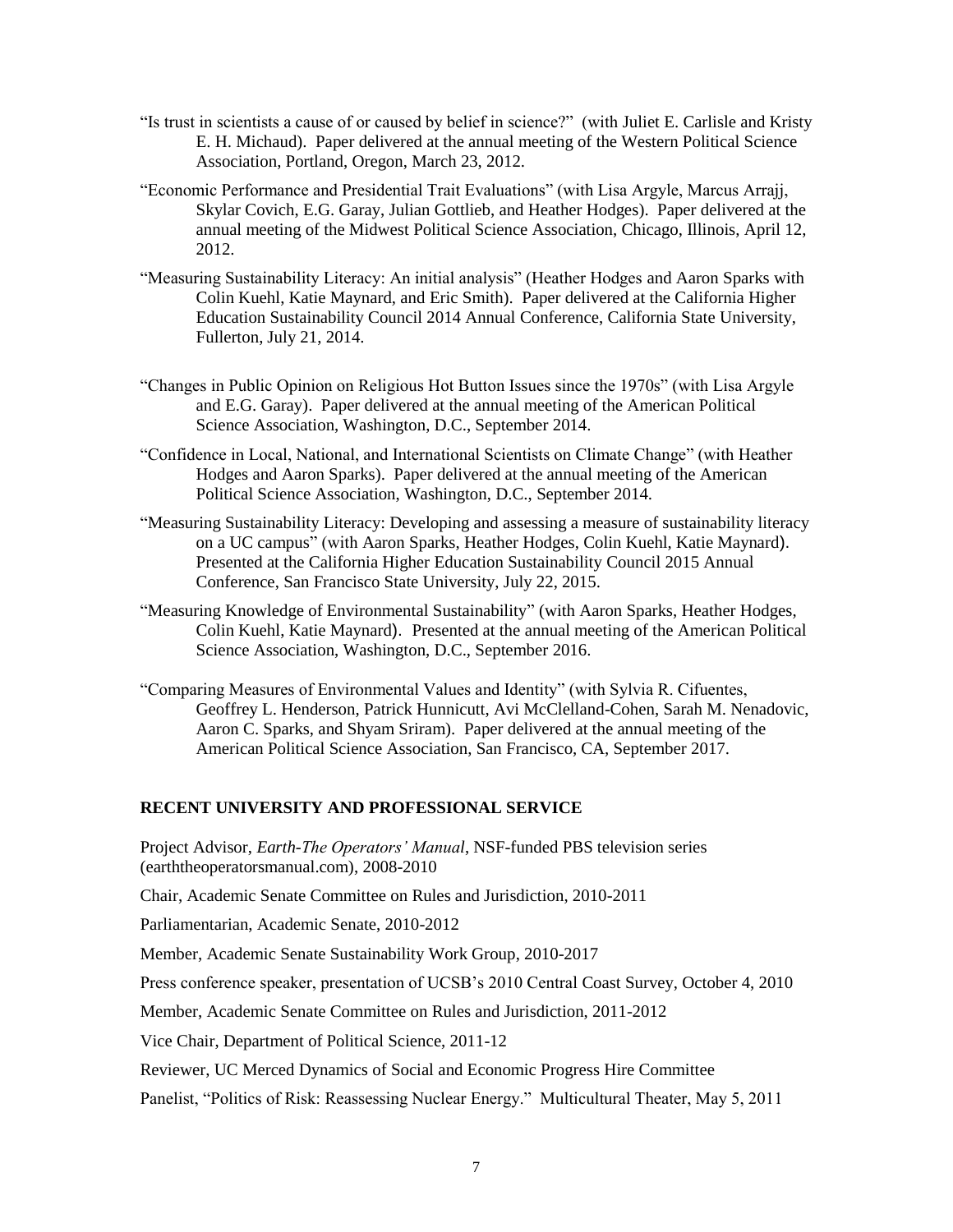- "Is trust in scientists a cause of or caused by belief in science?" (with Juliet E. Carlisle and Kristy E. H. Michaud). Paper delivered at the annual meeting of the Western Political Science Association, Portland, Oregon, March 23, 2012.
- "Economic Performance and Presidential Trait Evaluations" (with Lisa Argyle, Marcus Arrajj, Skylar Covich, E.G. Garay, Julian Gottlieb, and Heather Hodges). Paper delivered at the annual meeting of the Midwest Political Science Association, Chicago, Illinois, April 12, 2012.
- "Measuring Sustainability Literacy: An initial analysis" (Heather Hodges and Aaron Sparks with Colin Kuehl, Katie Maynard, and Eric Smith). Paper delivered at the California Higher Education Sustainability Council 2014 Annual Conference, California State University, Fullerton, July 21, 2014.
- "Changes in Public Opinion on Religious Hot Button Issues since the 1970s" (with Lisa Argyle and E.G. Garay). Paper delivered at the annual meeting of the American Political Science Association, Washington, D.C., September 2014.
- "Confidence in Local, National, and International Scientists on Climate Change" (with Heather Hodges and Aaron Sparks). Paper delivered at the annual meeting of the American Political Science Association, Washington, D.C., September 2014.
- "Measuring Sustainability Literacy: Developing and assessing a measure of sustainability literacy on a UC campus" (with Aaron Sparks, Heather Hodges, Colin Kuehl, Katie Maynard). Presented at the California Higher Education Sustainability Council 2015 Annual Conference, San Francisco State University, July 22, 2015.
- "Measuring Knowledge of Environmental Sustainability" (with Aaron Sparks, Heather Hodges, Colin Kuehl, Katie Maynard). Presented at the annual meeting of the American Political Science Association, Washington, D.C., September 2016.
- "Comparing Measures of Environmental Values and Identity" (with Sylvia R. Cifuentes, Geoffrey L. Henderson, Patrick Hunnicutt, Avi McClelland-Cohen, Sarah M. Nenadovic, Aaron C. Sparks, and Shyam Sriram). Paper delivered at the annual meeting of the American Political Science Association, San Francisco, CA, September 2017.

## **RECENT UNIVERSITY AND PROFESSIONAL SERVICE**

Project Advisor, *Earth-The Operators' Manual*, NSF-funded PBS television series (earththeoperatorsmanual.com), 2008-2010

Chair, Academic Senate Committee on Rules and Jurisdiction, 2010-2011

Parliamentarian, Academic Senate, 2010-2012

Member, Academic Senate Sustainability Work Group, 2010-2017

Press conference speaker, presentation of UCSB's 2010 Central Coast Survey, October 4, 2010

Member, Academic Senate Committee on Rules and Jurisdiction, 2011-2012

Vice Chair, Department of Political Science, 2011-12

Reviewer, UC Merced Dynamics of Social and Economic Progress Hire Committee

Panelist, "Politics of Risk: Reassessing Nuclear Energy." Multicultural Theater, May 5, 2011